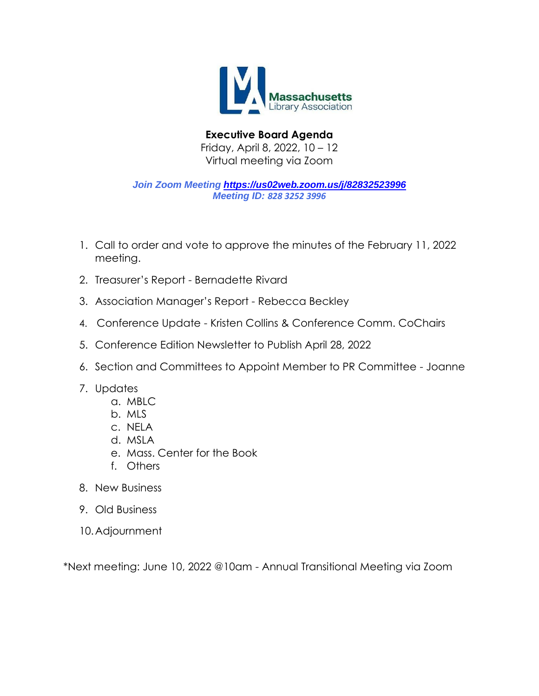

**Executive Board Agenda** Friday, April 8, 2022, 10 – 12 Virtual meeting via Zoom

*Join Zoom Meeting <https://us02web.zoom.us/j/82832523996> Meeting ID: 828 3252 3996*

- 1. Call to order and vote to approve the minutes of the February 11, 2022 meeting.
- 2. Treasurer's Report Bernadette Rivard
- 3. Association Manager's Report Rebecca Beckley
- 4. Conference Update Kristen Collins & Conference Comm. CoChairs
- 5. Conference Edition Newsletter to Publish April 28, 2022
- 6. Section and Committees to Appoint Member to PR Committee Joanne
- 7. Updates
	- a. MBLC
	- b. MLS
	- c. NELA
	- d. MSLA
	- e. Mass. Center for the Book
	- f. Others
- 8. New Business
- 9. Old Business
- 10.Adjournment

\*Next meeting: June 10, 2022 @10am - Annual Transitional Meeting via Zoom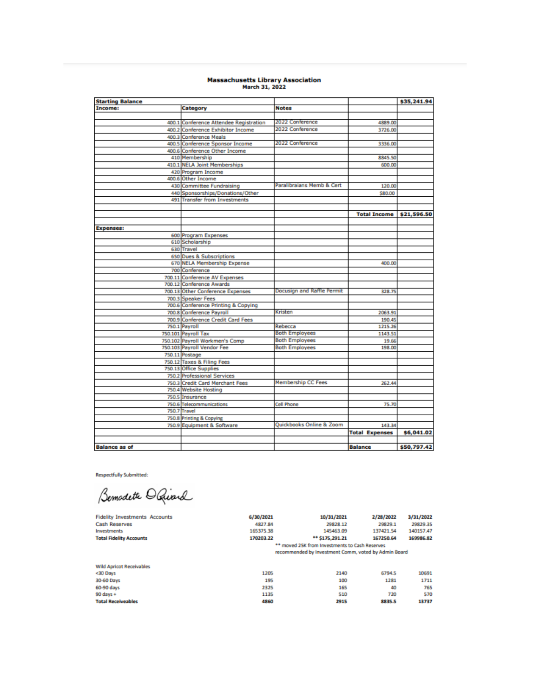# Massachusetts Library Association<br>March 31, 2022

| <b>Starting Balance</b> |                                        |                            |                       | \$35,241.94 |
|-------------------------|----------------------------------------|----------------------------|-----------------------|-------------|
| Income:                 | Category                               | <b>Notes</b>               |                       |             |
|                         |                                        |                            |                       |             |
|                         | 400.1 Conference Attendee Registration | 2022 Conference            | 4889.00               |             |
|                         | 400.2 Conference Exhibitor Income      | 2022 Conference            | 3726.00               |             |
|                         | 400.3 Conference Meals                 |                            |                       |             |
|                         | 400.5 Conference Sponsor Income        | 2022 Conference            | 3336.00               |             |
|                         | 400.6 Conference Other Income          |                            |                       |             |
|                         | 410 Membership                         |                            | 8845.50               |             |
|                         | 410.1 NELA Joint Memberships           |                            | 600.00                |             |
|                         | 420 Program Income                     |                            |                       |             |
|                         | 400.6 Other Income                     |                            |                       |             |
|                         | 430 Committee Fundraising              | Paralibraians Memb & Cert  | 120.00                |             |
|                         | 440 Sponsorships/Donations/Other       |                            | \$80.00               |             |
|                         | 491 Transfer from Investments          |                            |                       |             |
|                         |                                        |                            |                       |             |
|                         |                                        |                            | <b>Total Income</b>   | \$21,596.50 |
|                         |                                        |                            |                       |             |
| <b>Expenses:</b>        |                                        |                            |                       |             |
|                         | 600 Program Expenses                   |                            |                       |             |
|                         | 610 Scholarship                        |                            |                       |             |
|                         | 630 Travel                             |                            |                       |             |
|                         | 650 Dues & Subscriptions               |                            |                       |             |
|                         | 670 NELA Membership Expense            |                            | 400.00                |             |
|                         | 700 Conference                         |                            |                       |             |
|                         | 700.11 Conference AV Expenses          |                            |                       |             |
|                         | 700.12 Conference Awards               |                            |                       |             |
|                         | 700.13 Other Conference Expenses       | Docusign and Raffle Permit | 328.75                |             |
|                         | 700.3 Speaker Fees                     |                            |                       |             |
|                         | 700.6 Conference Printing & Copying    |                            |                       |             |
|                         | 700.8 Conference Payroll               | Kristen                    | 2063.91               |             |
|                         | 700.9 Conference Credit Card Fees      |                            | 190.45                |             |
|                         | 750.1 Payroll                          | Rebecca                    | 1215.26               |             |
|                         | 750.101 Payroll Tax                    | <b>Both Employees</b>      | 1143.51               |             |
|                         | 750.102 Payroll Workmen's Comp         | <b>Both Employees</b>      | 19.66                 |             |
|                         | 750.103 Payroll Vendor Fee             | <b>Both Employees</b>      | 198.00                |             |
|                         | 750.11 Postage                         |                            |                       |             |
|                         | 750.12 Taxes & Filing Fees             |                            |                       |             |
|                         | 750.13 Office Supplies                 |                            |                       |             |
|                         | <b>750.2 Professional Services</b>     |                            |                       |             |
|                         | 750.3 Credit Card Merchant Fees        | <b>Membership CC Fees</b>  | 262.44                |             |
|                         | 750.4 Website Hosting                  |                            |                       |             |
|                         | 750.5 Insurance                        |                            |                       |             |
|                         | 750.6 Telecommunications               | <b>Cell Phone</b>          | 75.70                 |             |
|                         | 750.7 Travel                           |                            |                       |             |
|                         | 750.8 Printing & Copying               |                            |                       |             |
|                         | 750.9 Equipment & Software             | Quickbooks Online & Zoom   | 143.34                |             |
|                         |                                        |                            | <b>Total Expenses</b> | \$6,041.02  |
|                         |                                        |                            |                       |             |
| <b>Balance as of</b>    |                                        |                            | <b>Balance</b>        | \$50,797.42 |

**Respectfully Submitted:** 

Bemodeth O Quard

| <b>Fidelity Investments Accounts</b> | 6/30/2021 | 10/31/2021                                           | 2/28/2022 | 3/31/2022 |
|--------------------------------------|-----------|------------------------------------------------------|-----------|-----------|
| <b>Cash Reserves</b>                 | 4827.84   | 29828.12                                             | 29829.1   | 29829.35  |
| Investments                          | 165375.38 | 145463.09                                            | 137421.54 | 140157.47 |
| <b>Total Fidelity Accounts</b>       | 170203.22 | ** \$175,291.21                                      | 167250.64 | 169986.82 |
|                                      |           | ** moved 25K from Investments to Cash Reserves       |           |           |
|                                      |           | recommended by Investment Comm, voted by Admin Board |           |           |
|                                      |           |                                                      |           |           |
| <b>Wild Apricot Receivables</b>      |           |                                                      |           |           |
| <30 Days                             | 1205      | 2140                                                 | 6794.5    | 10691     |
| 30-60 Days                           | 195       | 100                                                  | 1281      | 1711      |
| 60-90 days                           | 2325      | 165                                                  | 40        | 765       |
| $90$ days +                          | 1135      | 510                                                  | 720       | 570       |
| <b>Total Receiveables</b>            | 4860      | 2915                                                 | 8835.5    | 13737     |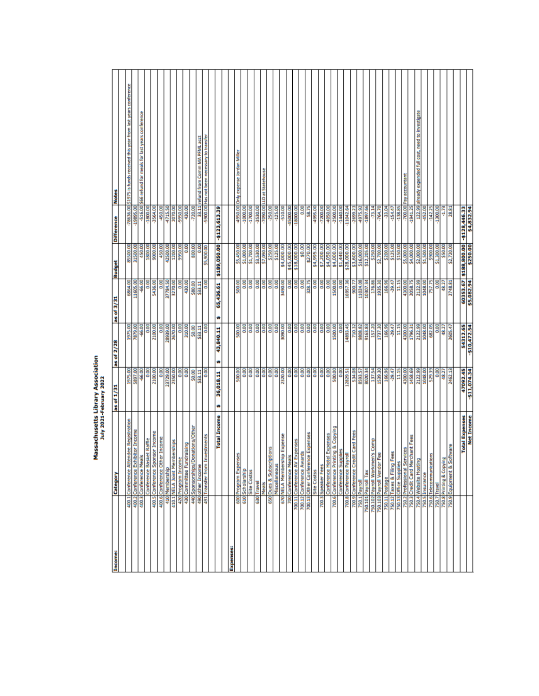| Income:          | Category                                                                    | as of 1/31                | as of 2/28                | as of 3/31           | <b>Budget</b>                    | <b>Difference</b>            | <b>Notes</b>                                                  |
|------------------|-----------------------------------------------------------------------------|---------------------------|---------------------------|----------------------|----------------------------------|------------------------------|---------------------------------------------------------------|
|                  |                                                                             |                           | 1975.00                   | 6864.00              | 85500.00                         | $-78636.00$                  | \$1975 is funds received this year from last years conference |
|                  | 400.1 Conference Attendee Registration<br>400.2 Conference Exhibitor Income | 1975.00                   | 7879.00                   | 11605.00             | 31500.00                         | $-19895.$                    |                                                               |
|                  | 400.3 Conference Meals                                                      | $-66.00$                  | -66.00                    | $-66.00$             | 450.00                           | -516.00                      | \$66 refund for meals for last years conference               |
|                  | Conference Basket Raffle                                                    | 80.00                     | <b>SOO</b>                | 0.00                 | 1800.00                          | $-1800.00$                   |                                                               |
|                  | 400.5 Conference Sponsor Income                                             | 2100.00                   | 2100.00                   | 5436.00              | 9000.00                          | -3564.00                     |                                                               |
|                  | 400.6 Conference Other Income<br>410 Membership                             | 800                       | 8                         | 8                    | 450.00                           | -450.00                      |                                                               |
|                  |                                                                             | 23729.00                  | 28939.00                  | 37784.50             | 42500.00                         | 4715.50                      |                                                               |
|                  | 410.1 NELA Joint Memberships                                                | 2350.00                   | 2670.00                   | 3270.00              | 1200.00                          | 2070.00                      |                                                               |
|                  | 420 Program Income                                                          | 800                       | 0.00                      | 0.00                 | 9950.00                          | 9950.00                      |                                                               |
|                  | 430 Committee Fundraising                                                   | $\overline{0.00}$         | 310.00                    | 430.00               | 8                                | 430.00                       |                                                               |
|                  | Donations/Other<br>A40 Sponsorships/                                        | \$0.00                    | \$0.00                    | \$80.00              | 800.00                           | $-720.00$                    |                                                               |
|                  | 490 other Income                                                            | \$33.11                   | \$33.11                   | \$33.11              | 8                                | 33.11                        | refund from Comm MA PFML acct                                 |
|                  | investments<br>491 Transfer from                                            | $\frac{8}{9}$             | 8                         | 8g                   | \$5,900.00                       | -5900.00                     | Has not been necessary to transfer                            |
|                  | <b>Total Income</b>                                                         | 36,018.11<br>ø            | 43,840.11<br>ø            | 65,436.61<br>ø       | \$189,050.00                     | $-5123, 613.39$              |                                                               |
|                  |                                                                             |                           |                           |                      |                                  |                              |                                                               |
| <b>Expenses:</b> |                                                                             |                           |                           |                      |                                  |                              |                                                               |
|                  | š<br>600 Program Exper                                                      | 500.00                    | \$00.00                   | 500.00               | \$5,450.00                       | 4950.00                      | Only expense Jordan Miller                                    |
|                  | 610 Scholarship                                                             | $\frac{8}{9}$             | <b>OOO</b>                | å                    | \$1,000.00                       | $-10000.00$                  |                                                               |
|                  | <b>Site Costss</b>                                                          | $\frac{8}{1}$             | <b>OOO</b>                | 8 <sub>0</sub>       | \$1,700.00                       | $-1700.00$                   |                                                               |
| 630              | Travel                                                                      | 00.0                      | 0.00                      | 0.00                 | \$3,530.00                       | 00'0656-                     |                                                               |
|                  | Meals                                                                       | $\frac{8}{2}$             | 8                         | 0.00                 | \$7,090.00                       | $-7090.00$                   | LLD at Statehouse                                             |
|                  | ptions<br>650 Dues & Subscr                                                 | 800                       | 800                       |                      | \$250.00                         | $-250.00$                    |                                                               |
|                  | Miscellaneous                                                               | $\frac{8}{9}$             | 8                         | 8                    | \$125.00                         | $-125.00$                    |                                                               |
|                  | 670 NELA Membership Expense                                                 | 2320.00                   | 3090.00                   | 3490.00              | \$4,000.00                       | -510.00                      |                                                               |
|                  | 700 Conference Meals                                                        | 800                       | <b>OOO</b>                | 800                  | \$45,000.00                      | 45000.00                     |                                                               |
|                  | Expenses<br>700.11 Conference AV                                            | 0.00                      | 8                         | 0.00                 | \$18,000.00                      | $-18000.000$                 |                                                               |
|                  | 700.12 Conference Awards                                                    | 800                       | <b>OOO</b>                | 80                   | \$0.00                           | 8,00                         |                                                               |
| 700.13           | <b>Ice Expenses</b><br>Other Conferen                                       | 0.00                      | 8                         | 328.75               | \$270.00                         | 58.75                        |                                                               |
|                  | Site Costss                                                                 | 0.00                      | <b>GOO</b>                | 0.00                 | \$4,995.00                       | $-4995.00$                   |                                                               |
|                  | 700.3 Speaker Fees                                                          |                           | 0.00                      | 00.0                 | \$7,200.00                       | $-7200.000$                  |                                                               |
|                  | Conference Hotel Expenses                                                   | 0.00                      | g                         | 0.00                 | \$4,050.00                       | -4050.00                     |                                                               |
|                  | nting & Copying<br>700.6 Conference Pri                                     | 500.00                    | 1500.00                   | 1500.00              | \$4,000.00                       | $-2500.00$                   |                                                               |
|                  | Conference Supplies<br>700.8 Conference Payroll                             | 800<br>12829.51           | <b>OOO</b><br>14893.45    | 8g<br>16957.36       | \$1,440.00<br>\$28,000.00        | $-1440.00$<br>$-11042.64$    |                                                               |
|                  |                                                                             |                           |                           |                      |                                  |                              |                                                               |
|                  | 700.9 Conference Credit Card Fees                                           | 534.08<br>8593.57         | 710.32<br>9808.82         | 900.7                | \$3,600.00                       | 4975.92<br>$-2699.23$        |                                                               |
|                  | 750.101 Payroll Tax<br>750.1 Payroll                                        | 8020.34                   | 9163.83                   | 11024.08<br>10307.34 | \$16,000.00<br>\$12,205.00       | -1897.66                     |                                                               |
|                  | en's Comp<br>750.102 Payroll Workm                                          | 137.54                    | 157.20                    | 176.86               | \$250.00                         | $-73.14$                     |                                                               |
|                  | Fee<br>750.103 Payroll Vendor                                               | 1539.30                   | 1737.30                   | 1935.30              | \$2,700.00                       | $-764.70$                    |                                                               |
|                  | 750.11 Postage                                                              | 166.96                    | 166.96                    | 166.96               | \$200.00                         | -33.04                       |                                                               |
|                  | Fees<br>750.12 Taxes & Filing                                               | $-29.47$                  | $-29.47$                  | $-29.47$             | \$125.00                         | $-154.47$                    |                                                               |
|                  | 750.13 Office Supplies                                                      | 11.15                     | 11.15                     | 11.15                | \$150.00                         | <b>58'8ET-</b>               |                                                               |
|                  | 750.2 Professional Services                                                 | 4300.00                   | 4300.00                   | 4300.00              | \$5,000.00                       | $-700.00$                    | Pay accountant                                                |
|                  | 750.3 Credit Card Merchant Fees                                             | 1458.69                   | 1796.31                   | 2058.75              | \$4,000.00                       | $-1941.25$                   |                                                               |
|                  | 750.4 Website Hostin                                                        | 2122.99                   | 2122.99                   | 2122.99              | \$2,000.00                       | 122.99                       | already expended full cost, need to investigate               |
|                  | 750.5 Insurance                                                             | 1048.00                   | 1048.00                   | 1048.00              | \$1,500.00                       | $-452.00$                    |                                                               |
| 750.6            | jons<br>Telecommunicat                                                      | 529.39                    | 682.05                    | 757.75               | \$900.00                         | $-142.25$                    |                                                               |
| 750.7            | Travel                                                                      | 0.00                      | 800                       | 0.00                 | \$1,300.00                       | -1300.00                     |                                                               |
|                  | 뜯<br>750.8 Printing & Copyin                                                | 48.27                     | 48.27                     | 48.27                | \$50.00                          | $-1.73$                      |                                                               |
|                  | Software<br>750.9 Equipment &                                               | 2462.13                   | 2605.47                   | 2748.81              | \$2,720.0                        | 28.81                        |                                                               |
|                  |                                                                             |                           |                           |                      |                                  |                              |                                                               |
|                  | <b>Total Expenses</b>                                                       | 47092.45<br>$-511,074.34$ | 54312.65<br>$-510,472.54$ | \$5,082.94           | 00'008'881\$ 29'8809<br>00'052\$ | $-5128,446.33$<br>\$4,832.94 |                                                               |
|                  | <b>Net Income</b>                                                           |                           |                           |                      |                                  |                              |                                                               |

# Massachusetts Library Association<br>July 2021-February 2022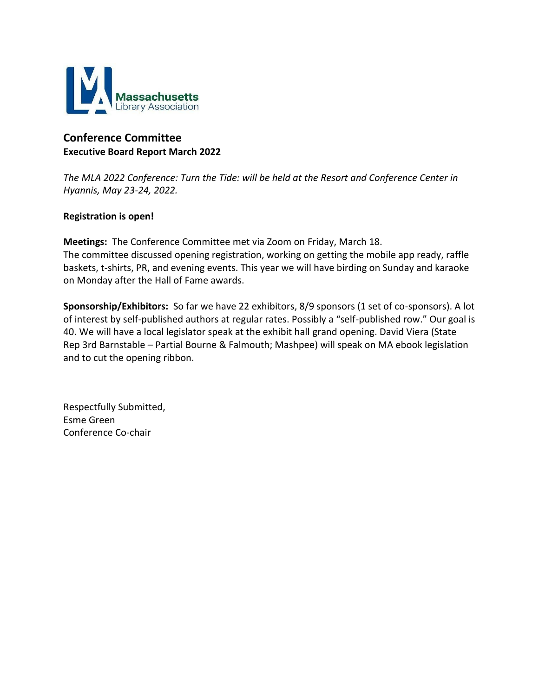

# **Conference Committee Executive Board Report March 2022**

*The MLA 2022 Conference: Turn the Tide: will be held at the Resort and Conference Center in Hyannis, May 23-24, 2022.*

# **Registration is open!**

**Meetings:** The Conference Committee met via Zoom on Friday, March 18. The committee discussed opening registration, working on getting the mobile app ready, raffle baskets, t-shirts, PR, and evening events. This year we will have birding on Sunday and karaoke on Monday after the Hall of Fame awards.

**Sponsorship/Exhibitors:** So far we have 22 exhibitors, 8/9 sponsors (1 set of co-sponsors). A lot of interest by self-published authors at regular rates. Possibly a "self-published row." Our goal is 40. We will have a local legislator speak at the exhibit hall grand opening. David Viera (State Rep 3rd Barnstable – Partial Bourne & Falmouth; Mashpee) will speak on MA ebook legislation and to cut the opening ribbon.

Respectfully Submitted, Esme Green Conference Co-chair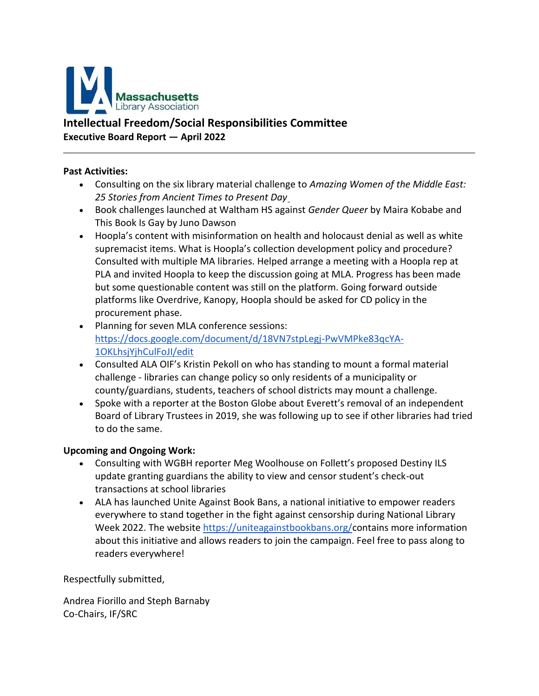

# **Intellectual Freedom/Social Responsibilities Committee Executive Board Report — April 2022**

# **Past Activities:**

- Consulting on the six library material challenge to *Amazing Women of the Middle East: 25 Stories from Ancient Times to Present Da[y](https://www.publishersweekly.com/978-1-62371-870-1)*
- Book challenges launched at Waltham HS against *Gender Queer* by Maira Kobabe and This Book Is Gay by Juno Dawson
- Hoopla's content with misinformation on health and holocaust denial as well as white supremacist items. What is Hoopla's collection development policy and procedure? Consulted with multiple MA libraries. Helped arrange a meeting with a Hoopla rep at PLA and invited Hoopla to keep the discussion going at MLA. Progress has been made but some questionable content was still on the platform. Going forward outside platforms like Overdrive, Kanopy, Hoopla should be asked for CD policy in the procurement phase.
- Planning for seven MLA conference sessions: [https://docs.google.com/document/d/18VN7stpLegj-PwVMPke83qcYA-](https://docs.google.com/document/d/18VN7stpLegj-PwVMPke83qcYA-1OKLhsjYjhCulFoJI/edit)[1OKLhsjYjhCulFoJI/edit](https://docs.google.com/document/d/18VN7stpLegj-PwVMPke83qcYA-1OKLhsjYjhCulFoJI/edit)
- Consulted ALA OIF's Kristin Pekoll on who has standing to mount a formal material challenge - libraries can change policy so only residents of a municipality or county/guardians, students, teachers of school districts may mount a challenge.
- Spoke with a reporter at the Boston Globe about Everett's removal of an independent Board of Library Trustees in 2019, she was following up to see if other libraries had tried to do the same.

### **Upcoming and Ongoing Work:**

- Consulting with WGBH reporter Meg Woolhouse on Follett's proposed Destiny ILS update granting guardians the ability to view and censor student's check-out transactions at school libraries
- ALA has launched Unite Against Book Bans, a national initiative to empower readers everywhere to stand together in the fight against censorship during National Library Week 2022. The websit[e https://uniteagainstbookbans.org/c](https://uniteagainstbookbans.org/)ontains more information about this initiative and allows readers to join the campaign. Feel free to pass along to readers everywhere!

Respectfully submitted,

Andrea Fiorillo and Steph Barnaby Co-Chairs, IF/SRC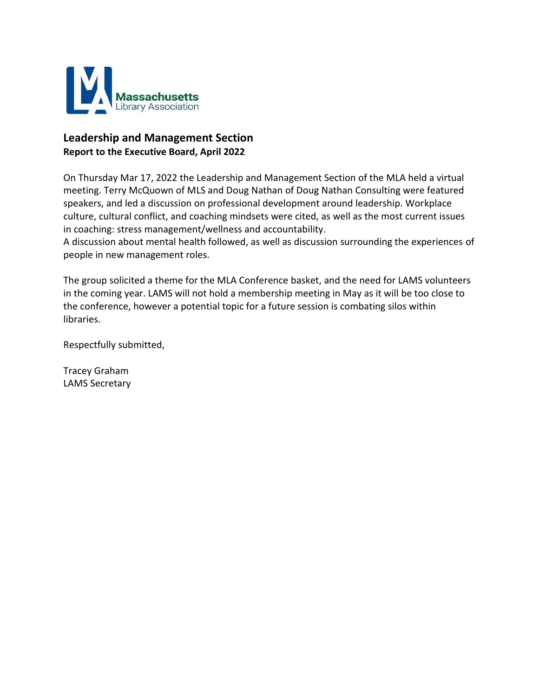

# **Leadership and Management Section Report to the Executive Board, April 2022**

On Thursday Mar 17, 2022 the Leadership and Management Section of the MLA held a virtual meeting. Terry McQuown of MLS and Doug Nathan of Doug Nathan Consulting were featured speakers, and led a discussion on professional development around leadership. Workplace culture, cultural conflict, and coaching mindsets were cited, as well as the most current issues in coaching: stress management/wellness and accountability.

A discussion about mental health followed, as well as discussion surrounding the experiences of people in new management roles.

The group solicited a theme for the MLA Conference basket, and the need for LAMS volunteers in the coming year. LAMS will not hold a membership meeting in May as it will be too close to the conference, however a potential topic for a future session is combating silos within libraries.

Respectfully submitted,

Tracey Graham LAMS Secretary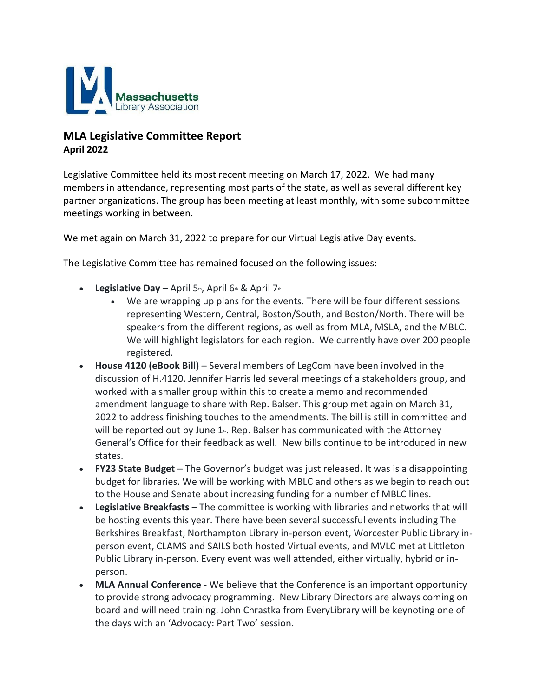

# **MLA Legislative Committee Report April 2022**

Legislative Committee held its most recent meeting on March 17, 2022. We had many members in attendance, representing most parts of the state, as well as several different key partner organizations. The group has been meeting at least monthly, with some subcommittee meetings working in between.

We met again on March 31, 2022 to prepare for our Virtual Legislative Day events.

The Legislative Committee has remained focused on the following issues:

- **Legislative Day** April  $5<sup>th</sup>$ , April  $6<sup>th</sup>$  & April  $7<sup>th</sup>$ 
	- We are wrapping up plans for the events. There will be four different sessions representing Western, Central, Boston/South, and Boston/North. There will be speakers from the different regions, as well as from MLA, MSLA, and the MBLC. We will highlight legislators for each region. We currently have over 200 people registered.
- **House 4120 (eBook Bill)** Several members of LegCom have been involved in the discussion of H.4120. Jennifer Harris led several meetings of a stakeholders group, and worked with a smaller group within this to create a memo and recommended amendment language to share with Rep. Balser. This group met again on March 31, 2022 to address finishing touches to the amendments. The bill is still in committee and will be reported out by June  $1<sub>*</sub>$ . Rep. Balser has communicated with the Attorney General's Office for their feedback as well. New bills continue to be introduced in new states.
- **FY23 State Budget** The Governor's budget was just released. It was is a disappointing budget for libraries. We will be working with MBLC and others as we begin to reach out to the House and Senate about increasing funding for a number of MBLC lines.
- **Legislative Breakfasts** The committee is working with libraries and networks that will be hosting events this year. There have been several successful events including The Berkshires Breakfast, Northampton Library in-person event, Worcester Public Library inperson event, CLAMS and SAILS both hosted Virtual events, and MVLC met at Littleton Public Library in-person. Every event was well attended, either virtually, hybrid or inperson.
- **MLA Annual Conference** We believe that the Conference is an important opportunity to provide strong advocacy programming. New Library Directors are always coming on board and will need training. John Chrastka from EveryLibrary will be keynoting one of the days with an 'Advocacy: Part Two' session.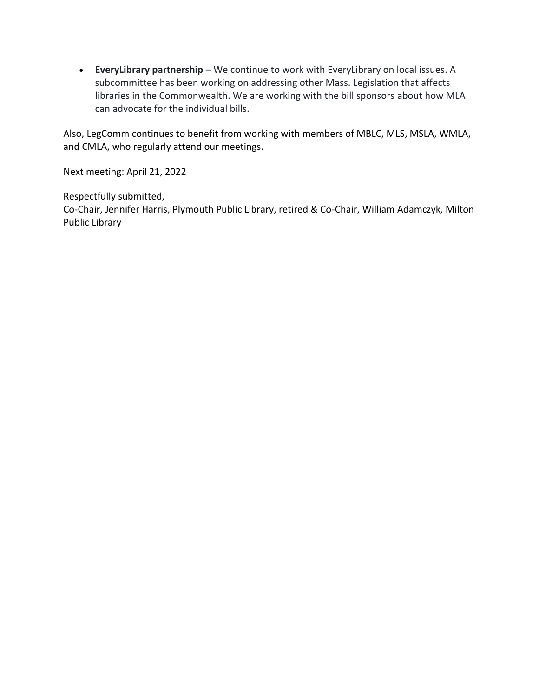• **EveryLibrary partnership** – We continue to work with EveryLibrary on local issues. A subcommittee has been working on addressing other Mass. Legislation that affects libraries in the Commonwealth. We are working with the bill sponsors about how MLA can advocate for the individual bills.

Also, LegComm continues to benefit from working with members of MBLC, MLS, MSLA, WMLA, and CMLA, who regularly attend our meetings.

Next meeting: April 21, 2022

Respectfully submitted, Co-Chair, Jennifer Harris, Plymouth Public Library, retired & Co-Chair, William Adamczyk, Milton Public Library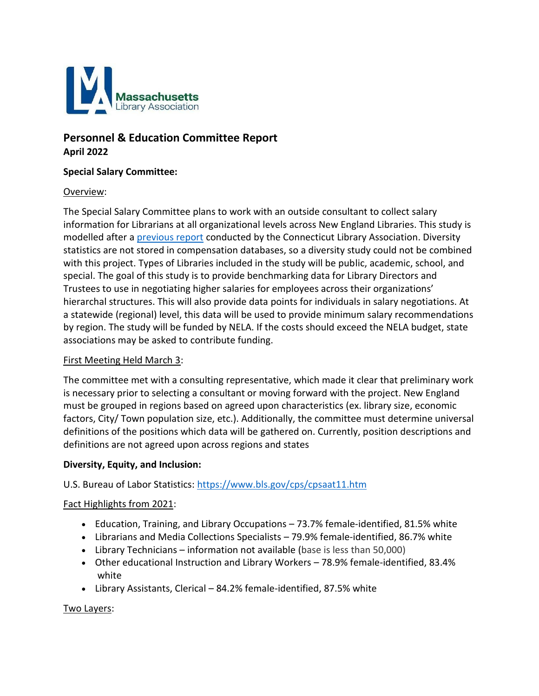

# **Personnel & Education Committee Report April 2022**

# **Special Salary Committee:**

### Overview:

The Special Salary Committee plans to work with an outside consultant to collect salary information for Librarians at all organizational levels across New England Libraries. This study is modelled after a [previous report](https://ctlibraryassociation.org/compbenchmarks) conducted by the Connecticut Library Association. Diversity statistics are not stored in compensation databases, so a diversity study could not be combined with this project. Types of Libraries included in the study will be public, academic, school, and special. The goal of this study is to provide benchmarking data for Library Directors and Trustees to use in negotiating higher salaries for employees across their organizations' hierarchal structures. This will also provide data points for individuals in salary negotiations. At a statewide (regional) level, this data will be used to provide minimum salary recommendations by region. The study will be funded by NELA. If the costs should exceed the NELA budget, state associations may be asked to contribute funding.

### First Meeting Held March 3:

The committee met with a consulting representative, which made it clear that preliminary work is necessary prior to selecting a consultant or moving forward with the project. New England must be grouped in regions based on agreed upon characteristics (ex. library size, economic factors, City/ Town population size, etc.). Additionally, the committee must determine universal definitions of the positions which data will be gathered on. Currently, position descriptions and definitions are not agreed upon across regions and states

### **Diversity, Equity, and Inclusion:**

### U.S. Bureau of Labor Statistics:<https://www.bls.gov/cps/cpsaat11.htm>

### Fact Highlights from 2021:

- Education, Training, and Library Occupations 73.7% female-identified, 81.5% white
- Librarians and Media Collections Specialists 79.9% female-identified, 86.7% white
- Library Technicians information not available (base is less than 50,000)
- Other educational Instruction and Library Workers 78.9% female-identified, 83.4% white
- Library Assistants, Clerical 84.2% female-identified, 87.5% white

### Two Layers: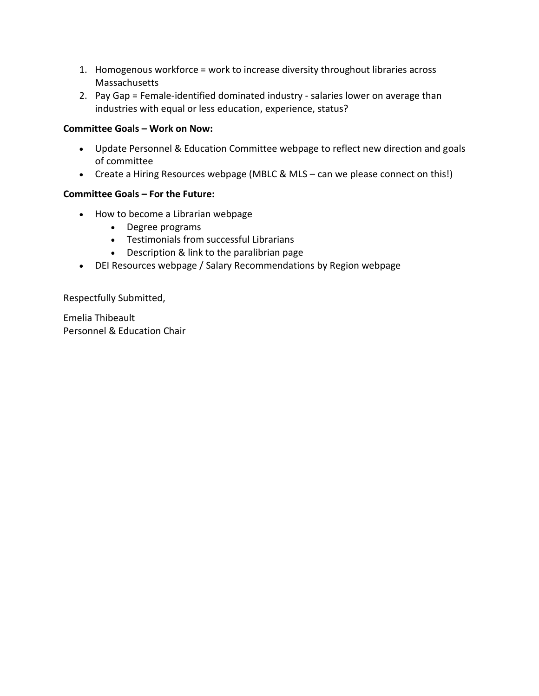- 1. Homogenous workforce = work to increase diversity throughout libraries across Massachusetts
- 2. Pay Gap = Female-identified dominated industry salaries lower on average than industries with equal or less education, experience, status?

# **Committee Goals – Work on Now:**

- Update Personnel & Education Committee webpage to reflect new direction and goals of committee
- Create a Hiring Resources webpage (MBLC & MLS can we please connect on this!)

# **Committee Goals – For the Future:**

- How to become a Librarian webpage
	- Degree programs
	- Testimonials from successful Librarians
	- Description & link to the paralibrian page
- DEI Resources webpage / Salary Recommendations by Region webpage

Respectfully Submitted,

Emelia Thibeault Personnel & Education Chair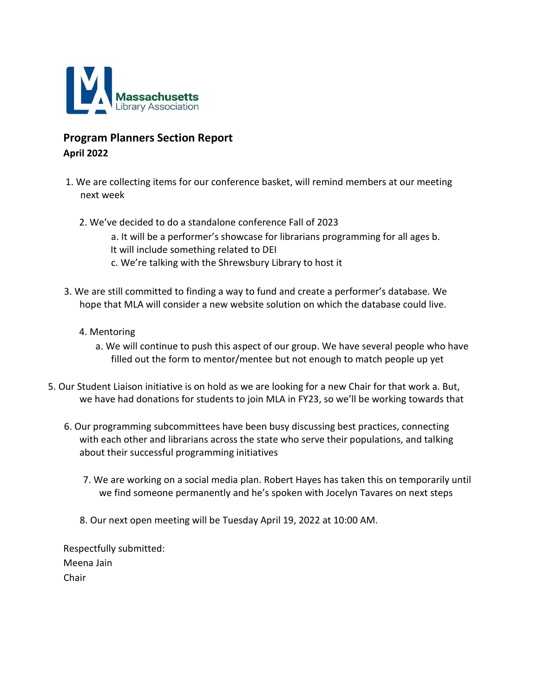

# **Program Planners Section Report April 2022**

- 1. We are collecting items for our conference basket, will remind members at our meeting next week
	- 2. We've decided to do a standalone conference Fall of 2023
		- a. It will be a performer's showcase for librarians programming for all ages b. It will include something related to DEI c. We're talking with the Shrewsbury Library to host it
- 3. We are still committed to finding a way to fund and create a performer's database. We hope that MLA will consider a new website solution on which the database could live.
	- 4. Mentoring
		- a. We will continue to push this aspect of our group. We have several people who have filled out the form to mentor/mentee but not enough to match people up yet
- 5. Our Student Liaison initiative is on hold as we are looking for a new Chair for that work a. But, we have had donations for students to join MLA in FY23, so we'll be working towards that
	- 6. Our programming subcommittees have been busy discussing best practices, connecting with each other and librarians across the state who serve their populations, and talking about their successful programming initiatives
		- 7. We are working on a social media plan. Robert Hayes has taken this on temporarily until we find someone permanently and he's spoken with Jocelyn Tavares on next steps
		- 8. Our next open meeting will be Tuesday April 19, 2022 at 10:00 AM.

Respectfully submitted: Meena Jain Chair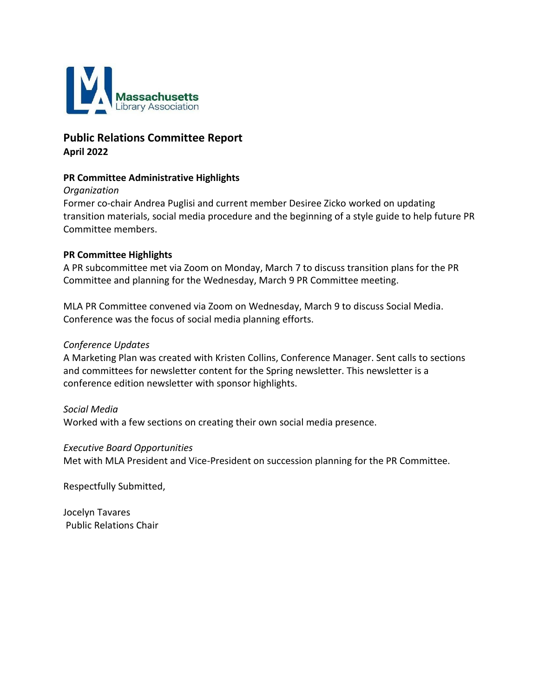

# **Public Relations Committee Report April 2022**

# **PR Committee Administrative Highlights**

### *Organization*

Former co-chair Andrea Puglisi and current member Desiree Zicko worked on updating transition materials, social media procedure and the beginning of a style guide to help future PR Committee members.

### **PR Committee Highlights**

A PR subcommittee met via Zoom on Monday, March 7 to discuss transition plans for the PR Committee and planning for the Wednesday, March 9 PR Committee meeting.

MLA PR Committee convened via Zoom on Wednesday, March 9 to discuss Social Media. Conference was the focus of social media planning efforts.

### *Conference Updates*

A Marketing Plan was created with Kristen Collins, Conference Manager. Sent calls to sections and committees for newsletter content for the Spring newsletter. This newsletter is a conference edition newsletter with sponsor highlights.

### *Social Media*

Worked with a few sections on creating their own social media presence.

### *Executive Board Opportunities*

Met with MLA President and Vice-President on succession planning for the PR Committee.

Respectfully Submitted,

[Jocelyn Tavares](mailto:JTavares@sailsinc.org) Public Relations Chair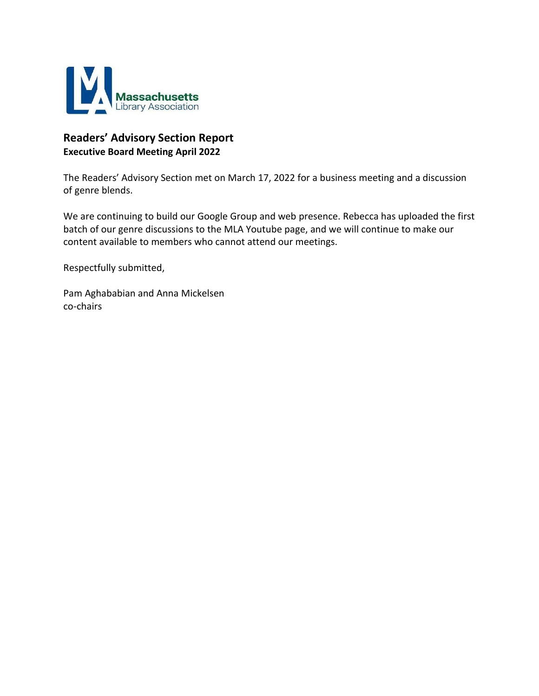

# **Readers' Advisory Section Report Executive Board Meeting April 2022**

The Readers' Advisory Section met on March 17, 2022 for a business meeting and a discussion of genre blends.

We are continuing to build our Google Group and web presence. Rebecca has uploaded the first batch of our genre discussions to the MLA Youtube page, and we will continue to make our content available to members who cannot attend our meetings.

Respectfully submitted,

Pam Aghababian and Anna Mickelsen co-chairs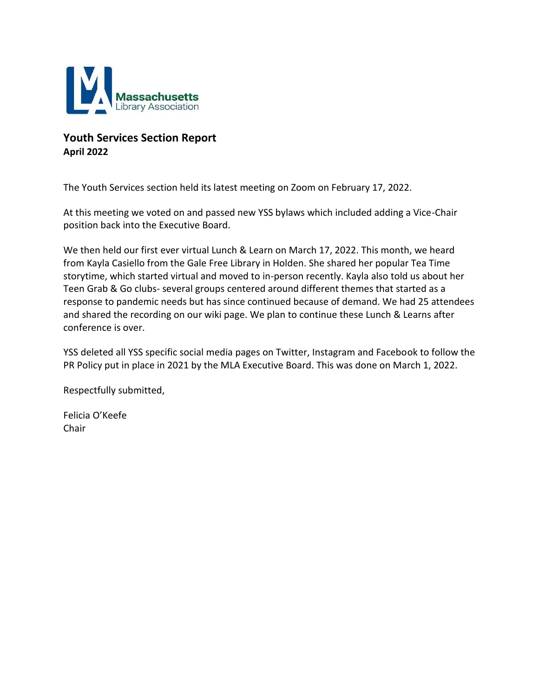

# **Youth Services Section Report April 2022**

The Youth Services section held its latest meeting on Zoom on February 17, 2022.

At this meeting we voted on and passed new YSS bylaws which included adding a Vice-Chair position back into the Executive Board.

We then held our first ever virtual Lunch & Learn on March 17, 2022. This month, we heard from Kayla Casiello from the Gale Free Library in Holden. She shared her popular Tea Time storytime, which started virtual and moved to in-person recently. Kayla also told us about her Teen Grab & Go clubs- several groups centered around different themes that started as a response to pandemic needs but has since continued because of demand. We had 25 attendees and shared the recording on our wiki page. We plan to continue these Lunch & Learns after conference is over.

YSS deleted all YSS specific social media pages on Twitter, Instagram and Facebook to follow the PR Policy put in place in 2021 by the MLA Executive Board. This was done on March 1, 2022.

Respectfully submitted,

Felicia O'Keefe Chair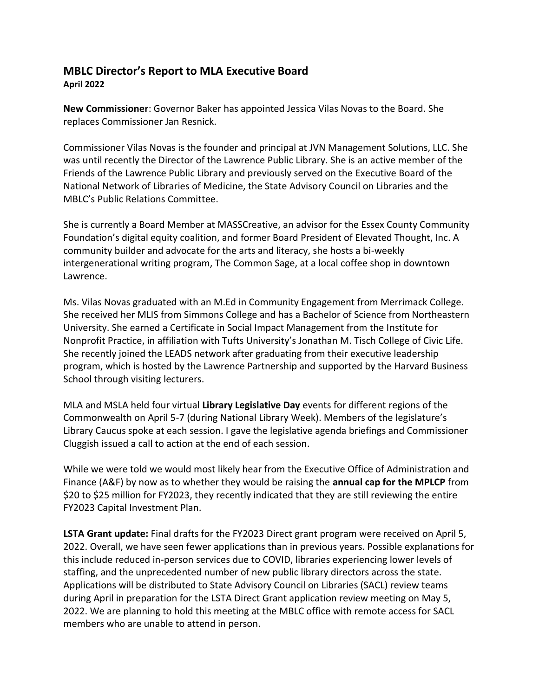# **MBLC Director's Report to MLA Executive Board April 2022**

**New Commissioner**: Governor Baker has appointed Jessica Vilas Novas to the Board. She replaces Commissioner Jan Resnick.

Commissioner Vilas Novas is the founder and principal at JVN Management Solutions, LLC. She was until recently the Director of the Lawrence Public Library. She is an active member of the Friends of the Lawrence Public Library and previously served on the Executive Board of the National Network of Libraries of Medicine, the State Advisory Council on Libraries and the MBLC's Public Relations Committee.

She is currently a Board Member at MASSCreative, an advisor for the Essex County Community Foundation's digital equity coalition, and former Board President of Elevated Thought, Inc. A community builder and advocate for the arts and literacy, she hosts a bi-weekly intergenerational writing program, The Common Sage, at a local coffee shop in downtown Lawrence.

Ms. Vilas Novas graduated with an M.Ed in Community Engagement from Merrimack College. She received her MLIS from Simmons College and has a Bachelor of Science from Northeastern University. She earned a Certificate in Social Impact Management from the Institute for Nonprofit Practice, in affiliation with Tufts University's Jonathan M. Tisch College of Civic Life. She recently joined the LEADS network after graduating from their executive leadership program, which is hosted by the Lawrence Partnership and supported by the Harvard Business School through visiting lecturers.

MLA and MSLA held four virtual **Library Legislative Day** events for different regions of the Commonwealth on April 5-7 (during National Library Week). Members of the legislature's Library Caucus spoke at each session. I gave the legislative agenda briefings and Commissioner Cluggish issued a call to action at the end of each session.

While we were told we would most likely hear from the Executive Office of Administration and Finance (A&F) by now as to whether they would be raising the **annual cap for the MPLCP** from \$20 to \$25 million for FY2023, they recently indicated that they are still reviewing the entire FY2023 Capital Investment Plan.

**LSTA Grant update:** Final drafts for the FY2023 Direct grant program were received on April 5, 2022. Overall, we have seen fewer applications than in previous years. Possible explanations for this include reduced in-person services due to COVID, libraries experiencing lower levels of staffing, and the unprecedented number of new public library directors across the state. Applications will be distributed to State Advisory Council on Libraries (SACL) review teams during April in preparation for the LSTA Direct Grant application review meeting on May 5, 2022. We are planning to hold this meeting at the MBLC office with remote access for SACL members who are unable to attend in person.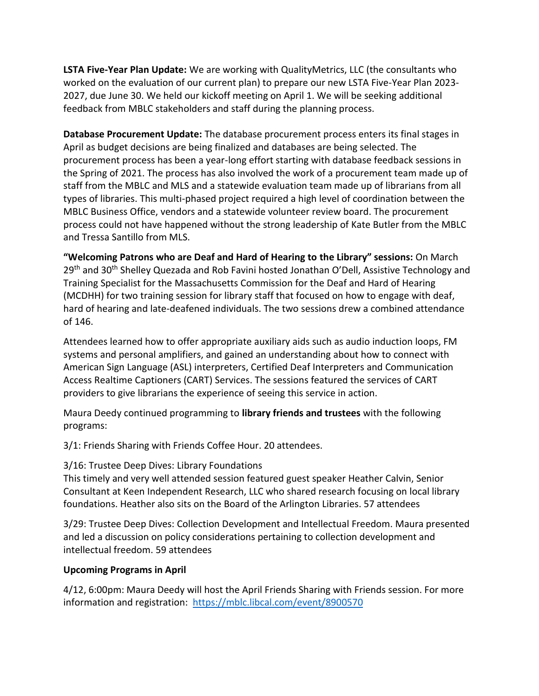**LSTA Five-Year Plan Update:** We are working with QualityMetrics, LLC (the consultants who worked on the evaluation of our current plan) to prepare our new LSTA Five-Year Plan 2023- 2027, due June 30. We held our kickoff meeting on April 1. We will be seeking additional feedback from MBLC stakeholders and staff during the planning process.

**Database Procurement Update:** The database procurement process enters its final stages in April as budget decisions are being finalized and databases are being selected. The procurement process has been a year-long effort starting with database feedback sessions in the Spring of 2021. The process has also involved the work of a procurement team made up of staff from the MBLC and MLS and a statewide evaluation team made up of librarians from all types of libraries. This multi-phased project required a high level of coordination between the MBLC Business Office, vendors and a statewide volunteer review board. The procurement process could not have happened without the strong leadership of Kate Butler from the MBLC and Tressa Santillo from MLS.

**"Welcoming Patrons who are Deaf and Hard of Hearing to the Library" sessions:** On March  $29<sup>th</sup>$  and 30<sup>th</sup> Shelley Quezada and Rob Favini hosted Jonathan O'Dell, Assistive Technology and Training Specialist for the Massachusetts Commission for the Deaf and Hard of Hearing (MCDHH) for two training session for library staff that focused on how to engage with deaf, hard of hearing and late-deafened individuals. The two sessions drew a combined attendance of 146.

Attendees learned how to offer appropriate auxiliary aids such as audio induction loops, FM systems and personal amplifiers, and gained an understanding about how to connect with American Sign Language (ASL) interpreters, Certified Deaf Interpreters and Communication Access Realtime Captioners (CART) Services. The sessions featured the services of CART providers to give librarians the experience of seeing this service in action.

Maura Deedy continued programming to **library friends and trustees** with the following programs:

3/1: Friends Sharing with Friends Coffee Hour. 20 attendees.

# 3/16: Trustee Deep Dives: Library Foundations

This timely and very well attended session featured guest speaker Heather Calvin, Senior Consultant at Keen Independent Research, LLC who shared research focusing on local library foundations. Heather also sits on the Board of the Arlington Libraries. 57 attendees

3/29: Trustee Deep Dives: Collection Development and Intellectual Freedom. Maura presented and led a discussion on policy considerations pertaining to collection development and intellectual freedom. 59 attendees

# **Upcoming Programs in April**

4/12, 6:00pm: Maura Deedy will host the April Friends Sharing with Friends session. For more information and registration: <https://mblc.libcal.com/event/8900570>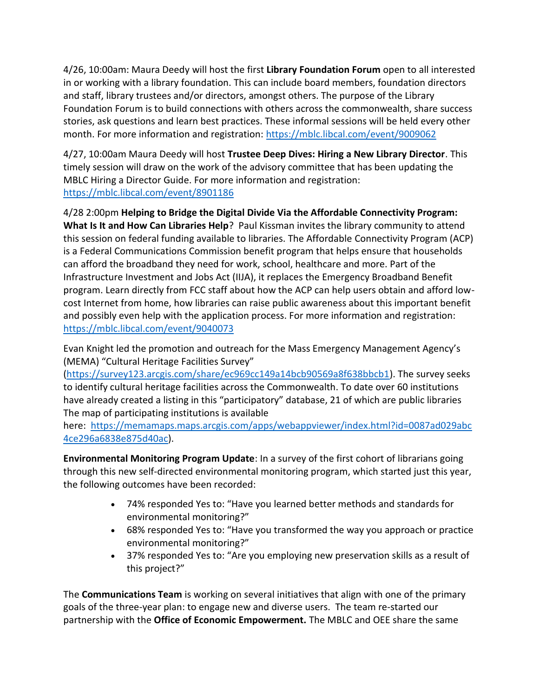4/26, 10:00am: Maura Deedy will host the first **Library Foundation Forum** open to all interested in or working with a library foundation. This can include board members, foundation directors and staff, library trustees and/or directors, amongst others. The purpose of the Library Foundation Forum is to build connections with others across the commonwealth, share success stories, ask questions and learn best practices. These informal sessions will be held every other month. For more information and registration:<https://mblc.libcal.com/event/9009062>

4/27, 10:00am Maura Deedy will host **Trustee Deep Dives: Hiring a New Library Director**. This timely session will draw on the work of the advisory committee that has been updating the MBLC Hiring a Director Guide. For more information and registration: <https://mblc.libcal.com/event/8901186>

4/28 2:00pm **Helping to Bridge the Digital Divide Via the Affordable Connectivity Program:** 

**What Is It and How Can Libraries Help**? Paul Kissman invites the library community to attend this session on federal funding available to libraries. The Affordable Connectivity Program (ACP) is a Federal Communications Commission benefit program that helps ensure that households can afford the broadband they need for work, school, healthcare and more. Part of the Infrastructure Investment and Jobs Act (IIJA), it replaces the Emergency Broadband Benefit program. Learn directly from FCC staff about how the ACP can help users obtain and afford lowcost Internet from home, how libraries can raise public awareness about this important benefit and possibly even help with the application process. For more information and registration: <https://mblc.libcal.com/event/9040073>

Evan Knight led the promotion and outreach for the Mass Emergency Management Agency's (MEMA) "Cultural Heritage Facilities Survey"

[\(https://survey123.arcgis.com/share/ec969cc149a14bcb90569a8f638bbcb1\)](https://survey123.arcgis.com/share/ec969cc149a14bcb90569a8f638bbcb1). The survey seeks to identify cultural heritage facilities across the Commonwealth. To date over 60 institutions have already created a listing in this "participatory" database, 21 of which are public libraries The map of participating institutions is available

here: [https://memamaps.maps.arcgis.com/apps/webappviewer/index.html?id=0087ad029abc](https://memamaps.maps.arcgis.com/apps/webappviewer/index.html?id=0087ad029abc4ce296a6838e875d40ac) [4ce296a6838e875d40ac\)](https://memamaps.maps.arcgis.com/apps/webappviewer/index.html?id=0087ad029abc4ce296a6838e875d40ac).

**Environmental Monitoring Program Update**: In a survey of the first cohort of librarians going through this new self-directed environmental monitoring program, which started just this year, the following outcomes have been recorded:

- 74% responded Yes to: "Have you learned better methods and standards for environmental monitoring?"
- 68% responded Yes to: "Have you transformed the way you approach or practice environmental monitoring?"
- 37% responded Yes to: "Are you employing new preservation skills as a result of this project?"

The **Communications Team** is working on several initiatives that align with one of the primary goals of the three-year plan: to engage new and diverse users. The team re-started our partnership with the **Office of Economic Empowerment.** The MBLC and OEE share the same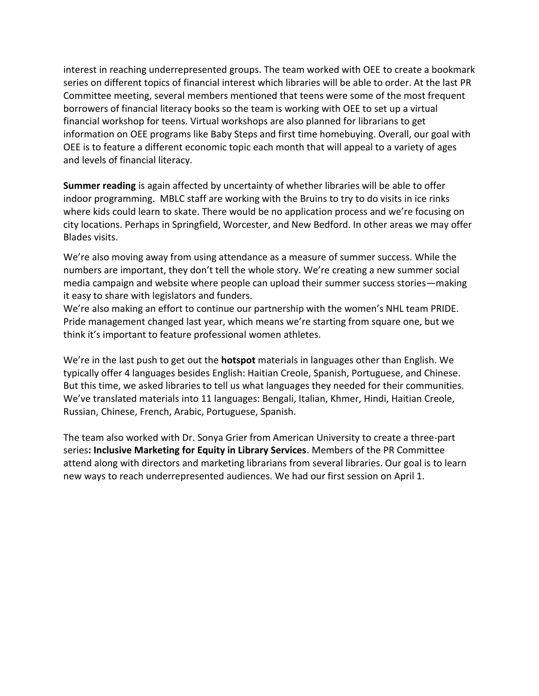interest in reaching underrepresented groups. The team worked with OEE to create a bookmark series on different topics of financial interest which libraries will be able to order. At the last PR Committee meeting, several members mentioned that teens were some of the most frequent borrowers of financial literacy books so the team is working with OEE to set up a virtual financial workshop for teens. Virtual workshops are also planned for librarians to get information on OEE programs like Baby Steps and first time homebuying. Overall, our goal with OEE is to feature a different economic topic each month that will appeal to a variety of ages and levels of financial literacy.

**Summer reading** is again affected by uncertainty of whether libraries will be able to offer indoor programming. MBLC staff are working with the Bruins to try to do visits in ice rinks where kids could learn to skate. There would be no application process and we're focusing on city locations. Perhaps in Springfield, Worcester, and New Bedford. In other areas we may offer Blades visits.

We're also moving away from using attendance as a measure of summer success. While the numbers are important, they don't tell the whole story. We're creating a new summer social media campaign and website where people can upload their summer success stories—making it easy to share with legislators and funders.

We're also making an effort to continue our partnership with the women's NHL team PRIDE. Pride management changed last year, which means we're starting from square one, but we think it's important to feature professional women athletes.

We're in the last push to get out the **hotspot** materials in languages other than English. We typically offer 4 languages besides English: Haitian Creole, Spanish, Portuguese, and Chinese. But this time, we asked libraries to tell us what languages they needed for their communities. We've translated materials into 11 languages: Bengali, Italian, Khmer, Hindi, Haitian Creole, Russian, Chinese, French, Arabic, Portuguese, Spanish.

The team also worked with Dr. Sonya Grier from American University to create a three-part series**: Inclusive Marketing for Equity in Library Services**. Members of the PR Committee attend along with directors and marketing librarians from several libraries. Our goal is to learn new ways to reach underrepresented audiences. We had our first session on April 1.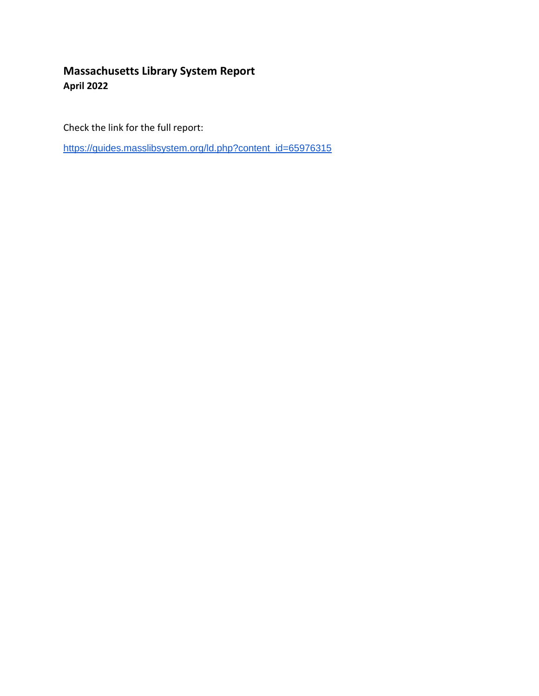# **Massachusetts Library System Report April 2022**

Check the link for the full report:

[https://guides.masslibsystem.org/ld.php?content\\_id=65976315](https://guides.masslibsystem.org/ld.php?content_id=65976315)